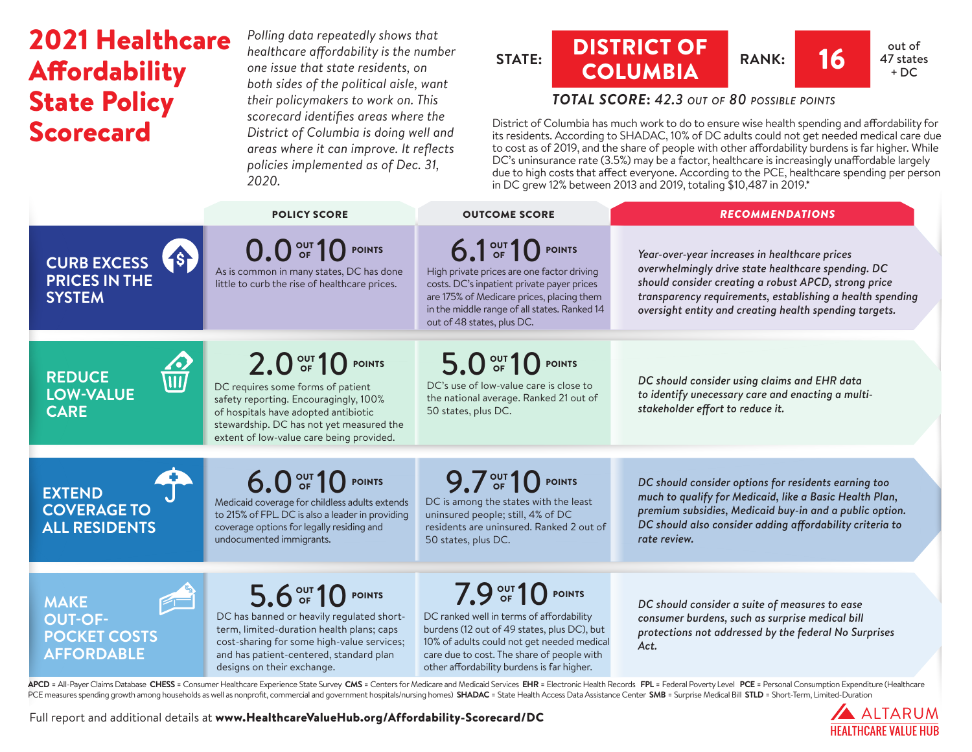# 2021 Healthcare **Affordability** State Policy Scorecard

*Polling data repeatedly shows that healthcare affordability is the number one issue that state residents, on both sides of the political aisle, want their policymakers to work on. This scorecard identifies areas where the District of Columbia is doing well and areas where it can improve. It reflects policies implemented as of Dec. 31, 2020.*

#### **STATE:** DISTRICT OF **COLUMBIA** RANK: 16 <sup>out of</sup> 47 states  $+ DC$

## *TOTAL SCORE***:** *42.3 out of 80 possible points*

District of Columbia has much work to do to ensure wise health spending and affordability for its residents. According to SHADAC, 10% of DC adults could not get needed medical care due to cost as of 2019, and the share of people with other affordability burdens is far higher. While DC's uninsurance rate (3.5%) may be a factor, healthcare is increasingly unaffordable largely due to high costs that affect everyone. According to the PCE, healthcare spending per person in DC grew 12% between 2013 and 2019, totaling \$10,487 in 2019.\*

|                                                                                                       | <b>POLICY SCORE</b>                                                                                                                                                                                                                | <b>OUTCOME SCORE</b>                                                                                                                                                                                                                                   | <b>RECOMMENDATIONS</b>                                                                                                                                                                                                                                                             |
|-------------------------------------------------------------------------------------------------------|------------------------------------------------------------------------------------------------------------------------------------------------------------------------------------------------------------------------------------|--------------------------------------------------------------------------------------------------------------------------------------------------------------------------------------------------------------------------------------------------------|------------------------------------------------------------------------------------------------------------------------------------------------------------------------------------------------------------------------------------------------------------------------------------|
| (s <sub>r</sub> )<br><b>CURB EXCESS</b><br><b>PRICES IN THE</b><br><b>SYSTEM</b>                      | 0.0 OF 10 POINTS<br>As is common in many states, DC has done<br>little to curb the rise of healthcare prices.                                                                                                                      | 6.1 OF 10 POINTS<br>High private prices are one factor driving<br>costs. DC's inpatient private payer prices<br>are 175% of Medicare prices, placing them<br>in the middle range of all states. Ranked 14<br>out of 48 states, plus DC.                | Year-over-year increases in healthcare prices<br>overwhelmingly drive state healthcare spending. DC<br>should consider creating a robust APCD, strong price<br>transparency requirements, establishing a health spending<br>oversight entity and creating health spending targets. |
| $\frac{2}{\sqrt{11}}$<br><b>REDUCE</b><br><b>LOW-VALUE</b><br><b>CARE</b>                             | 2.0 OF 10 POINTS<br>DC requires some forms of patient<br>safety reporting. Encouragingly, 100%<br>of hospitals have adopted antibiotic<br>stewardship. DC has not yet measured the<br>extent of low-value care being provided.     | 5.0 OF 10 POINTS<br>DC's use of low-value care is close to<br>the national average. Ranked 21 out of<br>50 states, plus DC.                                                                                                                            | DC should consider using claims and EHR data<br>to identify unecessary care and enacting a multi-<br>stakeholder effort to reduce it.                                                                                                                                              |
| <b>EXTEND</b><br><b>COVERAGE TO</b><br><b>ALL RESIDENTS</b>                                           | 6.0 OF 10 POINTS<br>Medicaid coverage for childless adults extends<br>to 215% of FPL. DC is also a leader in providing<br>coverage options for legally residing and<br>undocumented immigrants.                                    | 9.7 OUT 10 POINTS<br>DC is among the states with the least<br>uninsured people; still, 4% of DC<br>residents are uninsured. Ranked 2 out of<br>50 states, plus DC.                                                                                     | DC should consider options for residents earning too<br>much to qualify for Medicaid, like a Basic Health Plan,<br>premium subsidies, Medicaid buy-in and a public option.<br>DC should also consider adding affordability criteria to<br>rate review.                             |
| $\sqrt{1 - \frac{1}{2}}$<br><b>MAKE</b><br><b>OUT-OF-</b><br><b>POCKET COSTS</b><br><b>AFFORDABLE</b> | 5.6 OUT 10 POINTS<br>DC has banned or heavily regulated short-<br>term, limited-duration health plans; caps<br>cost-sharing for some high-value services;<br>and has patient-centered, standard plan<br>designs on their exchange. | 7.9 OUT 10 POINTS<br>DC ranked well in terms of affordability<br>burdens (12 out of 49 states, plus DC), but<br>10% of adults could not get needed medical<br>care due to cost. The share of people with<br>other affordability burdens is far higher. | DC should consider a suite of measures to ease<br>consumer burdens, such as surprise medical bill<br>protections not addressed by the federal No Surprises<br>Act.                                                                                                                 |

APCD = All-Payer Claims Database CHESS = Consumer Healthcare Experience State Survey CMS = Centers for Medicare and Medicaid Services EHR = Electronic Health Records FPL = Federal Poverty Level PCE = Personal Consumption E PCE measures spending growth among households as well as nonprofit, commercial and government hospitals/nursing homes) SHADAC = State Health Access Data Assistance Center SMB = Surprise Medical Bill STLD = Short-Term, Limi

Full report and additional details at [www.HealthcareValueHub.org/Affordability-Scorecard/D](https://www.HealthcareValueHub.org/Affordability-Scorecard/DC)C